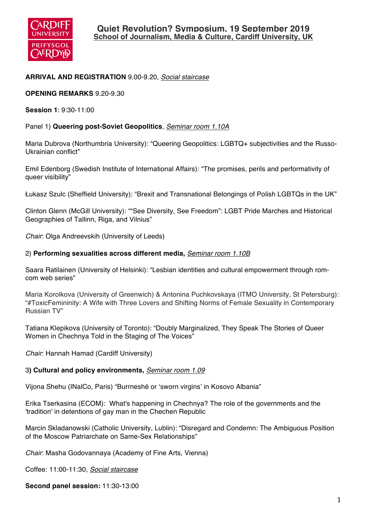

## **ARRIVAL AND REGISTRATION** 9.00-9.20, *Social staircase*

**OPENING REMARKS** 9.20-9.30

**Session 1**: 9:30-11:00

#### Panel 1) **Queering post-Soviet Geopolitics**, *Seminar room 1.10A*

Maria Dubrova (Northumbria University): "Queering Geopolitics: LGBTQ+ subjectivities and the Russo-Ukrainian conflict"

Emil Edenborg (Swedish Institute of International Affairs): "The promises, perils and performativity of queer visibility"

Łukasz Szulc (Sheffield University): "Brexit and Transnational Belongings of Polish LGBTQs in the UK"

Clinton Glenn (McGill University): ""See Diversity, See Freedom": LGBT Pride Marches and Historical Geographies of Tallinn, Riga, and Vilnius"

*Chair*: Olga Andreevskih (University of Leeds)

#### 2) **Performing sexualities across different media,** *Seminar room 1.10B*

Saara Ratilainen (University of Helsinki): "Lesbian identities and cultural empowerment through romcom web series"

Maria Korolkova (University of Greenwich) & Antonina Puchkovskaya (ITMO University, St Petersburg): "#ToxicFemininity: A Wife with Three Lovers and Shifting Norms of Female Sexuality in Contemporary Russian TV"

Tatiana Klepikova (University of Toronto): "Doubly Marginalized, They Speak The Stories of Queer Women in Chechnya Told in the Staging of The Voices"

*Chair*: Hannah Hamad (Cardiff University)

#### 3**) Cultural and policy environments,** *Seminar room 1.09*

Vijona Shehu (INalCo, Paris) "Burrneshë or 'sworn virgins' in Kosovo Albania"

Erika Tserkasina (ECOM): What's happening in Chechnya? The role of the governments and the 'tradition' in detentions of gay man in the Chechen Republic

Marcin Skladanowski (Catholic University, Lublin): "Disregard and Condemn: The Ambiguous Position of the Moscow Patriarchate on Same-Sex Relationships"

*Chair*: Masha Godovannaya (Academy of Fine Arts, Vienna)

Coffee: 11:00-11:30, *Social staircase*

**Second panel session:** 11:30-13:00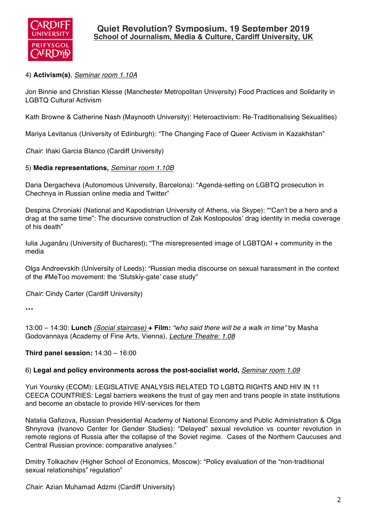

# 4) **Activism(s)**, *Seminar room 1.10A*

Jon Binnie and Christian Klesse (Manchester Metropolitan University) Food Practices and Solidarity in LGBTQ Cultural Activism

Kath Browne & Catherine Nash (Maynooth University): Heteroactivism: Re-Traditionalising Sexualities)

Mariya Levitanus (University of Edinburgh): "The Changing Face of Queer Activism in Kazakhstan"

*Chair*: Iñaki Garcia Blanco (Cardiff University)

## 5) **Media representations,** *Seminar room 1.10B*

Daria Dergacheva (Autonomous University, Barcelona): "Agenda-setting on LGBTQ prosecution in Chechnya in Russian online media and Twitter"

Despina Chroniaki (National and Kapodistrian University of Athens, via Skype): ""Can't be a hero and a drag at the same time": The discursive construction of Zak Kostopoulos' drag identity in media coverage of his death"

Iulia Juganâru (University of Bucharest); "The misrepresented image of LGBTQAI + community in the media

Olga Andreevskih (University of Leeds): "Russian media discourse on sexual harassment in the context of the #MeToo movement: the 'Slutskiy-gate' case study"

*Chair*: Cindy Carter (Cardiff University)

\*\*\*

13:00 – 14:30: **Lunch** *(Social staircase)* **+ Film:** *"who said there will be a walk in time"* by Masha Godovannaya (Academy of Fine Arts, Vienna), *Lecture Theatre: 1.08*

## **Third panel session:** 14:30 – 16:00

### 6) **Legal and policy environments across the post-socialist world,** *Seminar room 1.09*

Yuri Yoursky (ECOM): LEGISLATIVE ANALYSIS RELATED TO LGBTQ RIGHTS AND HIV IN 11 CEECA COUNTRIES: Legal barriers weakens the trust of gay men and trans people in state institutions and become an obstacle to provide HIV-services for them

Natalia Gafizova, Russian Presidential Academy of National Economy and Public Administration & Olga Shnyrova (Ivanovo Center for Gender Studies): "Delayed" sexual revolution vs counter revolution in remote regions of Russia after the collapse of the Soviet regime. Cases of the Northern Caucuses and Central Russian province: comparative analyses."

Dmitry Tolkachev (Higher School of Economics, Moscow): "Policy evaluation of the "non-traditional sexual relationships" regulation"

*Chair*: Azian Muhamad Adzmi (Cardiff University)